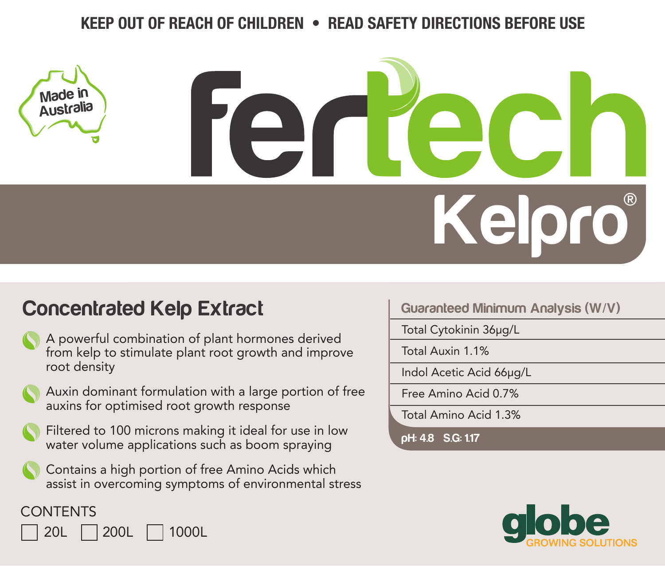## **KEEP OUT OF REACH OF CHILDREN • READ SAFETY DIRECTIONS BEFORE USE**

# **Kelpro** ®

# **Concentrated Kelp Extract**

| A powerful combination of plant hormones derived     |
|------------------------------------------------------|
| from kelp to stimulate plant root growth and improve |
| root density                                         |



Auxin dominant formulation with a large portion of free auxins for optimised root growth response

Filtered to 100 microns making it ideal for use in low water volume applications such as boom spraying

Contains a high portion of free Amino Acids which assist in overcoming symptoms of environmental stress

### **Guaranteed Minimum Analysis (W/V)**

Total Cytokinin 36µg/L

Total Auxin 1.1%

Indol Acetic Acid 66µg/L

Free Amino Acid 0.7%

Total Amino Acid 1.3%

**pH: 4.8 S.G: 1.17**



**CONTENTS** 

**Made in Australia**